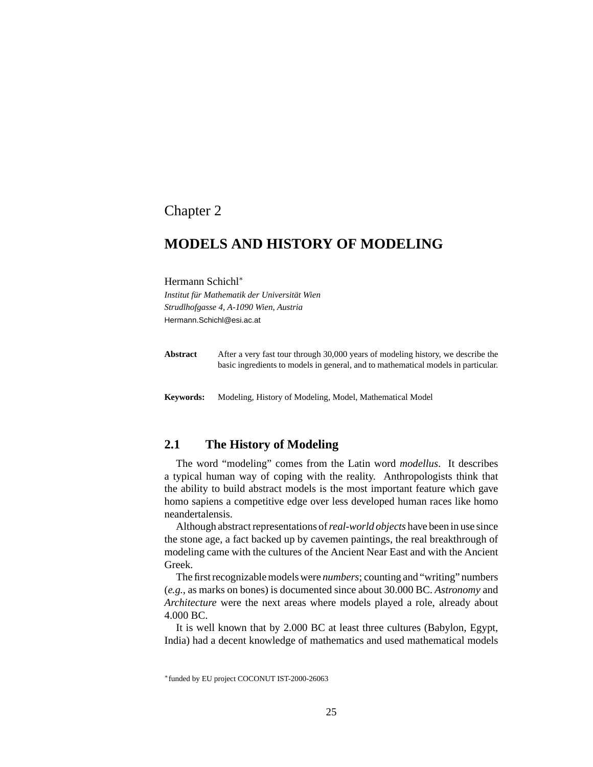# Chapter 2

# **MODELS AND HISTORY OF MODELING**

### Hermann Schichl ∗

*Institut fu¨r Mathematik der Universita¨t Wien Strudlhofgasse 4, A-1090 Wien, Austria* Hermann.Schichl@esi.ac.at

**Abstract** After a very fast tour through 30,000 years of modeling history, we describe the basic ingredients to models in general, and to mathematical models in particular.

**Keywords:** Modeling, History of Modeling, Model, Mathematical Model

## **2.1 The History of Modeling**

The word "modeling" comes from the Latin word *modellus*. It describes a typical human way of coping with the reality. Anthropologists think that the ability to build abstract models is the most important feature which gave homo sapiens a competitive edge over less developed human races like homo neandertalensis.

Although abstractrepresentations of*real-world objects* have been in use since the stone age, a fact backed up by cavemen paintings, the real breakthrough of modeling came with the cultures of the Ancient Near East and with the Ancient Greek.

The first recognizable models were *numbers*; counting and "writing" numbers (*e.g.*, as marks on bones) is documented since about 30.000 BC. *Astronomy* and *Architecture* were the next areas where models played a role, already about 4.000 BC.

It is well known that by 2.000 BC at least three cultures (Babylon, Egypt, India) had a decent knowledge of mathematics and used mathematical models

<sup>∗</sup>funded by EU project COCONUT IST-2000-26063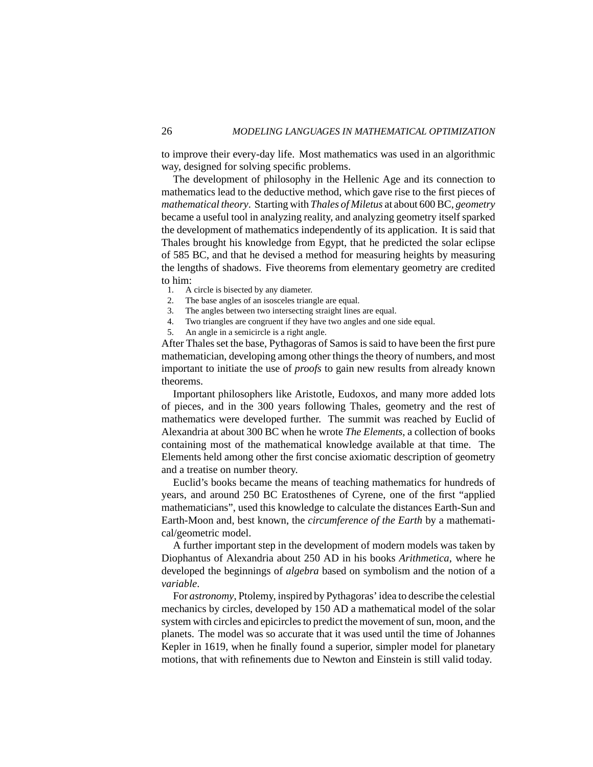to improve their every-day life. Most mathematics was used in an algorithmic way, designed for solving specific problems.

The development of philosophy in the Hellenic Age and its connection to mathematics lead to the deductive method, which gave rise to the first pieces of *mathematical theory*. Starting with *Thales of Miletus* at about 600BC, *geometry* became a useful tool in analyzing reality, and analyzing geometry itself sparked the development of mathematics independently of its application. It is said that Thales brought his knowledge from Egypt, that he predicted the solar eclipse of 585 BC, and that he devised a method for measuring heights by measuring the lengths of shadows. Five theorems from elementary geometry are credited to him:

- 1. A circle is bisected by any diameter.
- 2. The base angles of an isosceles triangle are equal.
- 3. The angles between two intersecting straight lines are equal.
- 4. Two triangles are congruent if they have two angles and one side equal.
- 5. An angle in a semicircle is a right angle.

After Thales set the base, Pythagoras of Samos is said to have been the first pure mathematician, developing among other things the theory of numbers, and most important to initiate the use of *proofs* to gain new results from already known theorems.

Important philosophers like Aristotle, Eudoxos, and many more added lots of pieces, and in the 300 years following Thales, geometry and the rest of mathematics were developed further. The summit was reached by Euclid of Alexandria at about 300 BC when he wrote *The Elements*, a collection of books containing most of the mathematical knowledge available at that time. The Elements held among other the first concise axiomatic description of geometry and a treatise on number theory.

Euclid's books became the means of teaching mathematics for hundreds of years, and around 250 BC Eratosthenes of Cyrene, one of the first "applied mathematicians", used this knowledge to calculate the distances Earth-Sun and Earth-Moon and, best known, the *circumference of the Earth* by a mathematical/geometric model.

A further important step in the development of modern models was taken by Diophantus of Alexandria about 250 AD in his books *Arithmetica*, where he developed the beginnings of *algebra* based on symbolism and the notion of a *variable*.

For *astronomy*, Ptolemy, inspired by Pythagoras'idea to describe the celestial mechanics by circles, developed by 150 AD a mathematical model of the solar system with circles and epicircles to predict the movement of sun, moon, and the planets. The model was so accurate that it was used until the time of Johannes Kepler in 1619, when he finally found a superior, simpler model for planetary motions, that with refinements due to Newton and Einstein is still valid today.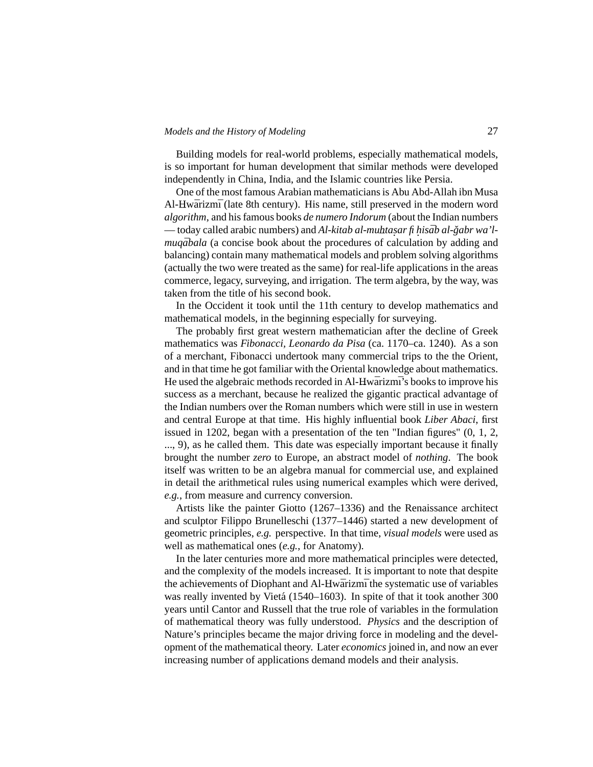#### *Models and the History of Modeling* 27

Building models for real-world problems, especially mathematical models, is so important for human development that similar methods were developed independently in China, India, and the Islamic countries like Persia.

One of the most famous Arabian mathematiciansis Abu Abd-Allah ibn Musa Al-Hwārizmī (late 8th century). His name, still preserved in the modern word ¯ *algorithm*, and hisfamous books *de numero Indorum* (about the Indian numbers — today called arabic numbers) and Al-kitab al-muhtaṣar fi ḥisāb al-ǧabr wa'l*muqabala* (a concise book about the procedures of calculation by adding and balancing) contain many mathematical models and problem solving algorithms (actually the two were treated as the same) for real-life applications in the areas commerce, legacy, surveying, and irrigation. The term algebra, by the way, was taken from the title of his second book.

In the Occident it took until the 11th century to develop mathematics and mathematical models, in the beginning especially for surveying.

The probably first great western mathematician after the decline of Greek mathematics was *Fibonacci, Leonardo da Pisa* (ca. 1170–ca. 1240). As a son of a merchant, Fibonacci undertook many commercial trips to the the Orient, and in that time he got familiar with the Oriental knowledge about mathematics. He used the algebraic methods recorded in Al-Hwārizmī's books to improve his success as a merchant, because he realized the gigantic practical advantage of the Indian numbers over the Roman numbers which were still in use in western and central Europe at that time. His highly influential book *Liber Abaci*, first issued in 1202, began with a presentation of the ten "Indian figures" (0, 1, 2, ..., 9), as he called them. This date was especially important because it finally brought the number *zero* to Europe, an abstract model of *nothing*. The book itself was written to be an algebra manual for commercial use, and explained in detail the arithmetical rules using numerical examples which were derived, *e.g.*, from measure and currency conversion.

Artists like the painter Giotto (1267–1336) and the Renaissance architect and sculptor Filippo Brunelleschi (1377–1446) started a new development of geometric principles, *e.g.* perspective. In that time, *visual models* were used as well as mathematical ones (*e.g.*, for Anatomy).

In the later centuries more and more mathematical principles were detected, and the complexity of the models increased. It is important to note that despite the achievements of Diophant and Al-Hwarizmi the systematic use of variables was really invented by Vietá (1540–1603). In spite of that it took another 300 years until Cantor and Russell that the true role of variables in the formulation of mathematical theory was fully understood. *Physics* and the description of Nature's principles became the major driving force in modeling and the development of the mathematical theory. Later *economics* joined in, and now an ever increasing number of applications demand models and their analysis.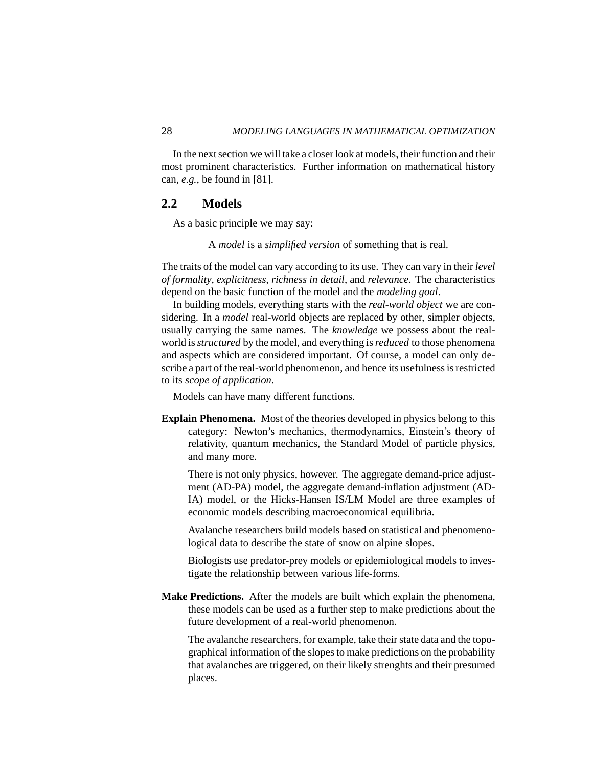In the next section we will take a closer look at models, their function and their most prominent characteristics. Further information on mathematical history can, *e.g.*, be found in [81].

### **2.2 Models**

As a basic principle we may say:

A *model* is a *simplified version* of something that is real.

The traits of the model can vary according to its use. They can vary in their *level of formality*, *explicitness*, *richness in detail*, and *relevance*. The characteristics depend on the basic function of the model and the *modeling goal*.

In building models, everything starts with the *real-world object* we are considering. In a *model* real-world objects are replaced by other, simpler objects, usually carrying the same names. The *knowledge* we possess about the realworld is*structured* by the model, and everything is*reduced* to those phenomena and aspects which are considered important. Of course, a model can only describe a part of the real-world phenomenon, and hence its usefulness is restricted to its *scope of application*.

Models can have many different functions.

**Explain Phenomena.** Most of the theories developed in physics belong to this category: Newton's mechanics, thermodynamics, Einstein's theory of relativity, quantum mechanics, the Standard Model of particle physics, and many more.

There is not only physics, however. The aggregate demand-price adjustment (AD-PA) model, the aggregate demand-inflation adjustment (AD-IA) model, or the Hicks-Hansen IS/LM Model are three examples of economic models describing macroeconomical equilibria.

Avalanche researchers build models based on statistical and phenomenological data to describe the state of snow on alpine slopes.

Biologists use predator-prey models or epidemiological models to investigate the relationship between various life-forms.

**Make Predictions.** After the models are built which explain the phenomena, these models can be used as a further step to make predictions about the future development of a real-world phenomenon.

The avalanche researchers, for example, take their state data and the topographical information of the slopesto make predictions on the probability that avalanches are triggered, on their likely strenghts and their presumed places.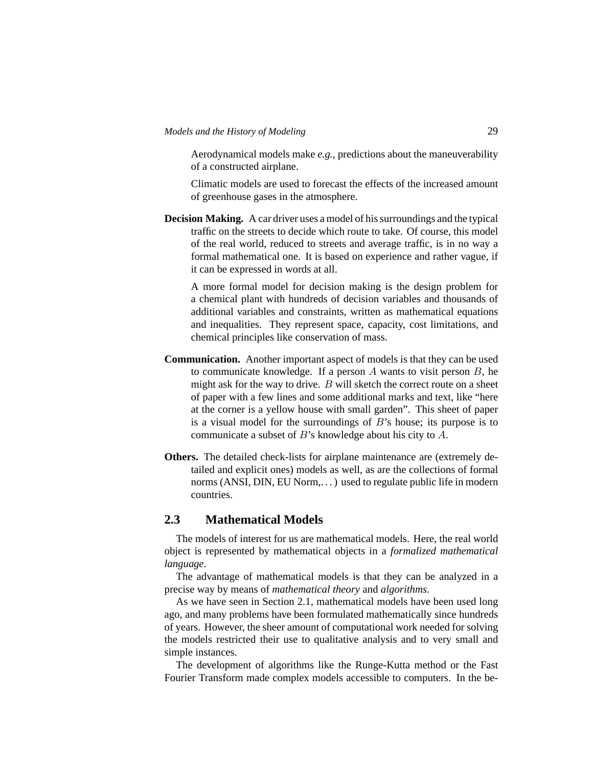Aerodynamical models make *e.g.*, predictions about the maneuverability of a constructed airplane.

Climatic models are used to forecast the effects of the increased amount of greenhouse gases in the atmosphere.

**Decision Making.** A car driver uses a model of his surroundings and the typical traffic on the streets to decide which route to take. Of course, this model of the real world, reduced to streets and average traffic, is in no way a formal mathematical one. It is based on experience and rather vague, if it can be expressed in words at all.

A more formal model for decision making is the design problem for a chemical plant with hundreds of decision variables and thousands of additional variables and constraints, written as mathematical equations and inequalities. They represent space, capacity, cost limitations, and chemical principles like conservation of mass.

- **Communication.** Another important aspect of models is that they can be used to communicate knowledge. If a person  $A$  wants to visit person  $B$ , he might ask for the way to drive.  $B$  will sketch the correct route on a sheet of paper with a few lines and some additional marks and text, like "here at the corner is a yellow house with small garden". This sheet of paper is a visual model for the surroundings of  $B$ 's house; its purpose is to communicate a subset of B's knowledge about his city to A.
- **Others.** The detailed check-lists for airplane maintenance are (extremely detailed and explicit ones) models as well, as are the collections of formal norms (ANSI, DIN, EU Norm,. . .) used to regulate public life in modern countries.

#### **2.3 Mathematical Models**

The models of interest for us are mathematical models. Here, the real world object is represented by mathematical objects in a *formalized mathematical language*.

The advantage of mathematical models is that they can be analyzed in a precise way by means of *mathematical theory* and *algorithms*.

As we have seen in Section 2.1, mathematical models have been used long ago, and many problems have been formulated mathematically since hundreds of years. However, the sheer amount of computational work needed for solving the models restricted their use to qualitative analysis and to very small and simple instances.

The development of algorithms like the Runge-Kutta method or the Fast Fourier Transform made complex models accessible to computers. In the be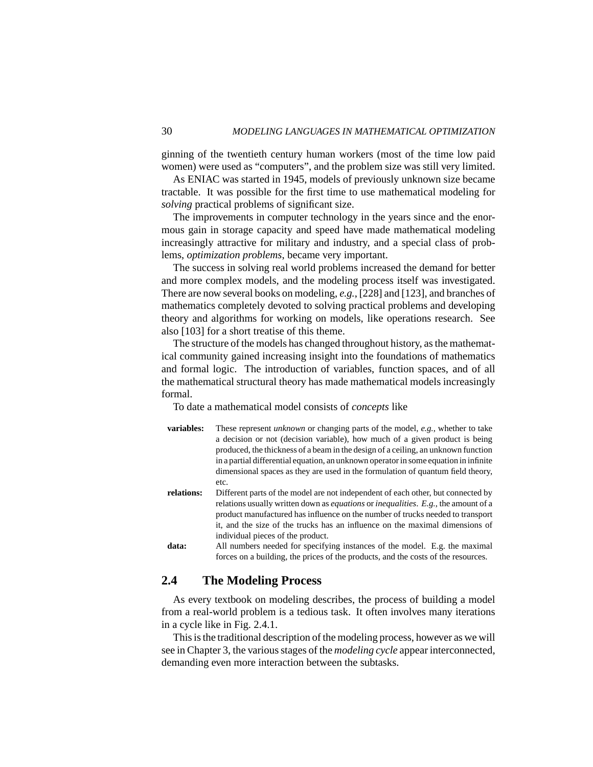ginning of the twentieth century human workers (most of the time low paid women) were used as "computers", and the problem size was still very limited.

As ENIAC was started in 1945, models of previously unknown size became tractable. It was possible for the first time to use mathematical modeling for *solving* practical problems of significant size.

The improvements in computer technology in the years since and the enormous gain in storage capacity and speed have made mathematical modeling increasingly attractive for military and industry, and a special class of problems, *optimization problems*, became very important.

The success in solving real world problems increased the demand for better and more complex models, and the modeling process itself was investigated. There are now several books on modeling, *e.g.*, [228] and [123], and branches of mathematics completely devoted to solving practical problems and developing theory and algorithms for working on models, like operations research. See also [103] for a short treatise of this theme.

The structure of the models has changed throughout history, asthe mathematical community gained increasing insight into the foundations of mathematics and formal logic. The introduction of variables, function spaces, and of all the mathematical structural theory has made mathematical models increasingly formal.

To date a mathematical model consists of *concepts* like

- **variables:** These represent *unknown* or changing parts of the model, *e.g.*, whether to take a decision or not (decision variable), how much of a given product is being produced, the thickness of a beam in the design of a ceiling, an unknown function in a partial differential equation, an unknown operatorin some equation in infinite dimensional spaces as they are used in the formulation of quantum field theory, etc.
- **relations:** Different parts of the model are not independent of each other, but connected by relations usually written down as *equations* or *inequalities*. *E.g.*, the amount of a product manufactured has influence on the number of trucks needed to transport it, and the size of the trucks has an influence on the maximal dimensions of individual pieces of the product.
- **data:** All numbers needed for specifying instances of the model. E.g. the maximal forces on a building, the prices of the products, and the costs of the resources.

### **2.4 The Modeling Process**

As every textbook on modeling describes, the process of building a model from a real-world problem is a tedious task. It often involves many iterations in a cycle like in Fig. 2.4.1.

This is the traditional description of the modeling process, however as we will see in Chapter 3, the various stages of the *modeling cycle* appear interconnected, demanding even more interaction between the subtasks.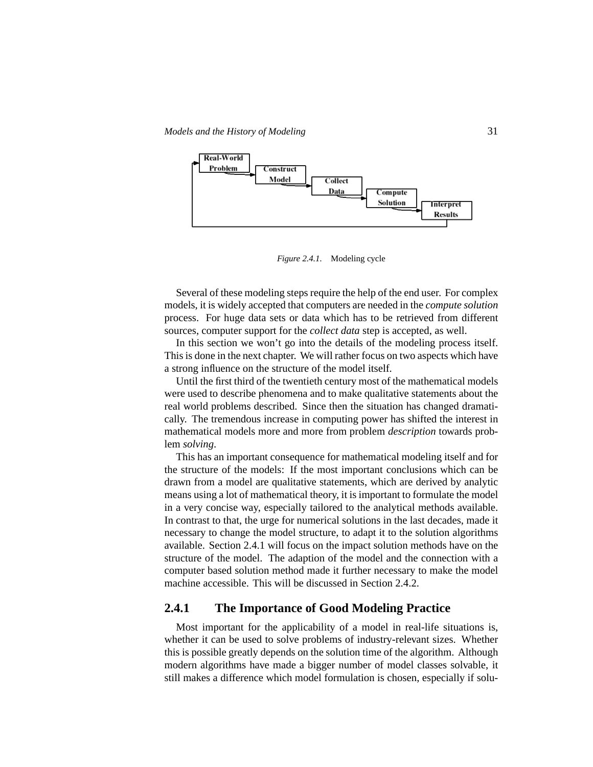

*Figure 2.4.1.* Modeling cycle

Several of these modeling steps require the help of the end user. For complex models, it is widely accepted that computers are needed in the *compute solution* process. For huge data sets or data which has to be retrieved from different sources, computer support for the *collect data* step is accepted, as well.

In this section we won't go into the details of the modeling process itself. This is done in the next chapter. We will rather focus on two aspects which have a strong influence on the structure of the model itself.

Until the first third of the twentieth century most of the mathematical models were used to describe phenomena and to make qualitative statements about the real world problems described. Since then the situation has changed dramatically. The tremendous increase in computing power has shifted the interest in mathematical models more and more from problem *description* towards problem *solving*.

This has an important consequence for mathematical modeling itself and for the structure of the models: If the most important conclusions which can be drawn from a model are qualitative statements, which are derived by analytic means using a lot of mathematical theory, it is important to formulate the model in a very concise way, especially tailored to the analytical methods available. In contrast to that, the urge for numerical solutions in the last decades, made it necessary to change the model structure, to adapt it to the solution algorithms available. Section 2.4.1 will focus on the impact solution methods have on the structure of the model. The adaption of the model and the connection with a computer based solution method made it further necessary to make the model machine accessible. This will be discussed in Section 2.4.2.

### **2.4.1 The Importance of Good Modeling Practice**

Most important for the applicability of a model in real-life situations is, whether it can be used to solve problems of industry-relevant sizes. Whether this is possible greatly depends on the solution time of the algorithm. Although modern algorithms have made a bigger number of model classes solvable, it still makes a difference which model formulation is chosen, especially if solu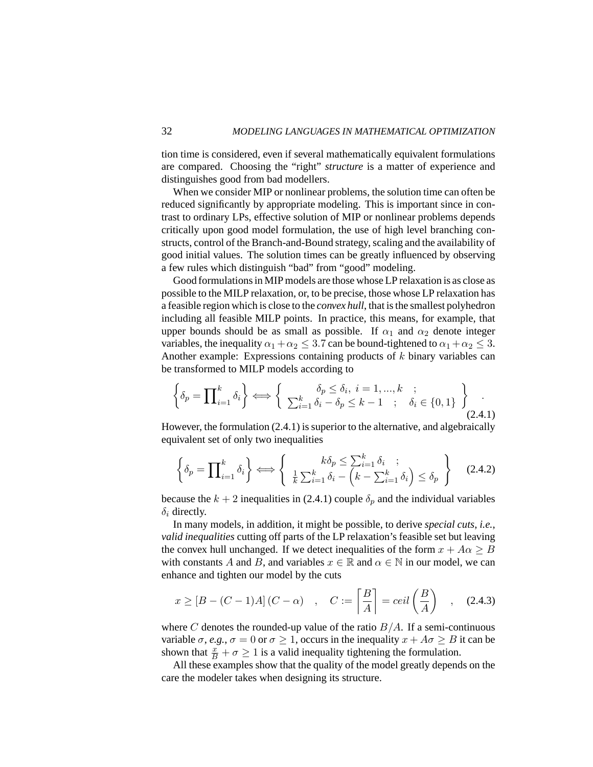tion time is considered, even if several mathematically equivalent formulations are compared. Choosing the "right" *structure* is a matter of experience and distinguishes good from bad modellers.

When we consider MIP or nonlinear problems, the solution time can often be reduced significantly by appropriate modeling. This is important since in contrast to ordinary LPs, effective solution of MIP or nonlinear problems depends critically upon good model formulation, the use of high level branching constructs, control of the Branch-and-Bound strategy, scaling and the availability of good initial values. The solution times can be greatly influenced by observing a few rules which distinguish "bad" from "good" modeling.

Good formulationsin MIP models are those whose LP relaxation is as close as possible to the MILP relaxation, or, to be precise, those whose LP relaxation has a feasible region which is close to the *convex hull*, that isthe smallest polyhedron including all feasible MILP points. In practice, this means, for example, that upper bounds should be as small as possible. If  $\alpha_1$  and  $\alpha_2$  denote integer variables, the inequality  $\alpha_1 + \alpha_2 \leq 3.7$  can be bound-tightened to  $\alpha_1 + \alpha_2 \leq 3.7$ Another example: Expressions containing products of  $k$  binary variables can be transformed to MILP models according to

$$
\left\{\delta_p = \prod_{i=1}^k \delta_i\right\} \Longleftrightarrow \left\{\begin{array}{c}\delta_p \leq \delta_i, \ i = 1, ..., k \quad ;\\ \sum_{i=1}^k \delta_i - \delta_p \leq k - 1 \quad ; \quad \delta_i \in \{0, 1\}\end{array}\right\}.
$$
\n(2.4.1)

However, the formulation  $(2.4.1)$  is superior to the alternative, and algebraically equivalent set of only two inequalities

$$
\left\{\delta_p = \prod_{i=1}^k \delta_i\right\} \Longleftrightarrow \left\{\begin{array}{c} k\delta_p \le \sum_{i=1}^k \delta_i ;\\ \frac{1}{k} \sum_{i=1}^k \delta_i - \left(k - \sum_{i=1}^k \delta_i\right) \le \delta_p \end{array}\right\} \tag{2.4.2}
$$

because the  $k + 2$  inequalities in (2.4.1) couple  $\delta_p$  and the individual variables  $\delta_i$  directly.

In many models, in addition, it might be possible, to derive *special cuts*, *i.e.*, *valid inequalities* cutting off parts of the LP relaxation's feasible set but leaving the convex hull unchanged. If we detect inequalities of the form  $x + A\alpha \geq B$ with constants A and B, and variables  $x \in \mathbb{R}$  and  $\alpha \in \mathbb{N}$  in our model, we can enhance and tighten our model by the cuts

$$
x \ge [B - (C - 1)A] (C - \alpha)
$$
,  $C := \left[\frac{B}{A}\right] = ceil\left(\frac{B}{A}\right)$ , (2.4.3)

where C denotes the rounded-up value of the ratio  $B/A$ . If a semi-continuous variable  $\sigma$ , *e.g.*,  $\sigma = 0$  or  $\sigma \ge 1$ , occurs in the inequality  $x + A\sigma \ge B$  it can be shown that  $\frac{x}{B} + \sigma \ge 1$  is a valid inequality tightening the formulation.

All these examples show that the quality of the model greatly depends on the care the modeler takes when designing its structure.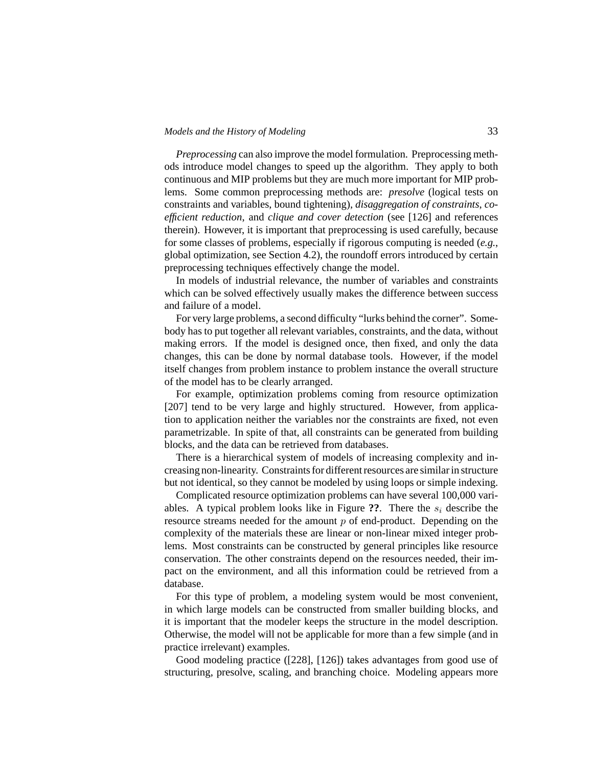#### *Models and the History of Modeling* 33

*Preprocessing* can also improve the model formulation. Preprocessing methods introduce model changes to speed up the algorithm. They apply to both continuous and MIP problems but they are much more important for MIP problems. Some common preprocessing methods are: *presolve* (logical tests on constraints and variables, bound tightening), *disaggregation of constraints*, *coefficient reduction*, and *clique and cover detection* (see [126] and references therein). However, it is important that preprocessing is used carefully, because for some classes of problems, especially if rigorous computing is needed (*e.g.*, global optimization, see Section 4.2), the roundoff errors introduced by certain preprocessing techniques effectively change the model.

In models of industrial relevance, the number of variables and constraints which can be solved effectively usually makes the difference between success and failure of a model.

For very large problems, a second difficulty "lurks behind the corner". Somebody has to put together all relevant variables, constraints, and the data, without making errors. If the model is designed once, then fixed, and only the data changes, this can be done by normal database tools. However, if the model itself changes from problem instance to problem instance the overall structure of the model has to be clearly arranged.

For example, optimization problems coming from resource optimization [207] tend to be very large and highly structured. However, from application to application neither the variables nor the constraints are fixed, not even parametrizable. In spite of that, all constraints can be generated from building blocks, and the data can be retrieved from databases.

There is a hierarchical system of models of increasing complexity and increasing non-linearity. Constraints for different resources are similar in structure but not identical, so they cannot be modeled by using loops or simple indexing.

Complicated resource optimization problems can have several 100,000 variables. A typical problem looks like in Figure  $\mathbf{?}$ ?. There the  $s_i$  describe the resource streams needed for the amount  $p$  of end-product. Depending on the complexity of the materials these are linear or non-linear mixed integer problems. Most constraints can be constructed by general principles like resource conservation. The other constraints depend on the resources needed, their impact on the environment, and all this information could be retrieved from a database.

For this type of problem, a modeling system would be most convenient, in which large models can be constructed from smaller building blocks, and it is important that the modeler keeps the structure in the model description. Otherwise, the model will not be applicable for more than a few simple (and in practice irrelevant) examples.

Good modeling practice ([228], [126]) takes advantages from good use of structuring, presolve, scaling, and branching choice. Modeling appears more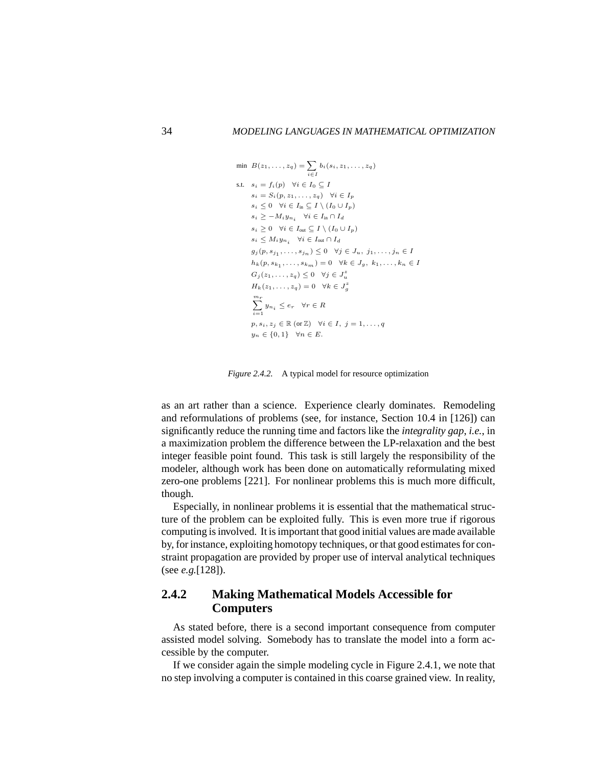```
min B(z_1,\ldots,z_q)=\sum\sum_{i\in I}b_i(s_i,z_1,\ldots,z_q)s.t. s_i = f_i(p) \quad \forall i \in I_0 \subseteq Is_i = S_i(p, z_1, \ldots, z_q) \quad \forall i \in I_ps_i \leq 0 \quad \forall i \in I_{\text{in}} \subseteq I \setminus (I_0 \cup I_p)s_i \geq -M_i y_{n_i} \forall i \in I_{\text{in}} \cap I_ds_i \geq 0 \quad \forall i \in I_{\text{out}} \subseteq I \setminus (I_0 \cup I_p)s_i \leq M_i y_{n_i} \quad \forall i \in I_{\text{out}} \cap I_dg_j(p, s_{j_1}, \ldots, s_{j_n}) \leq 0 \quad \forall j \in J_u, j_1, \ldots, j_n \in Ih_k(p, s_{k_1}, \ldots, s_{k_m}) = 0 \quad \forall k \in J_g, \ k_1, \ldots, k_n \in IG_j(z_1,\ldots,z_q)\leq 0 \quad \forall j\in J_u^zH_k(z_1,\ldots,z_q)=0 \quad \forall k \in J_g^z\sum_{i=1}^{m}\sum_{i=1} y_{n_i} \leq e_r \quad \forall r \in Rp, s_i, z_j \in \mathbb{R} (or Z) \forall i \in I, j = 1, \dots, qy_n \in \{0,1\} \quad \forall n \in E.
```
*Figure 2.4.2.* A typical model for resource optimization

as an art rather than a science. Experience clearly dominates. Remodeling and reformulations of problems (see, for instance, Section 10.4 in [126]) can significantly reduce the running time and factors like the *integrality gap*, *i.e.*, in a maximization problem the difference between the LP-relaxation and the best integer feasible point found. This task is still largely the responsibility of the modeler, although work has been done on automatically reformulating mixed zero-one problems [221]. For nonlinear problems this is much more difficult, though.

Especially, in nonlinear problems it is essential that the mathematical structure of the problem can be exploited fully. This is even more true if rigorous computing is involved. It is important that good initial values are made available by, for instance, exploiting homotopy techniques, or that good estimates for constraint propagation are provided by proper use of interval analytical techniques (see *e.g.*[128]).

## **2.4.2 Making Mathematical Models Accessible for Computers**

As stated before, there is a second important consequence from computer assisted model solving. Somebody has to translate the model into a form accessible by the computer.

If we consider again the simple modeling cycle in Figure 2.4.1, we note that no step involving a computer is contained in this coarse grained view. In reality,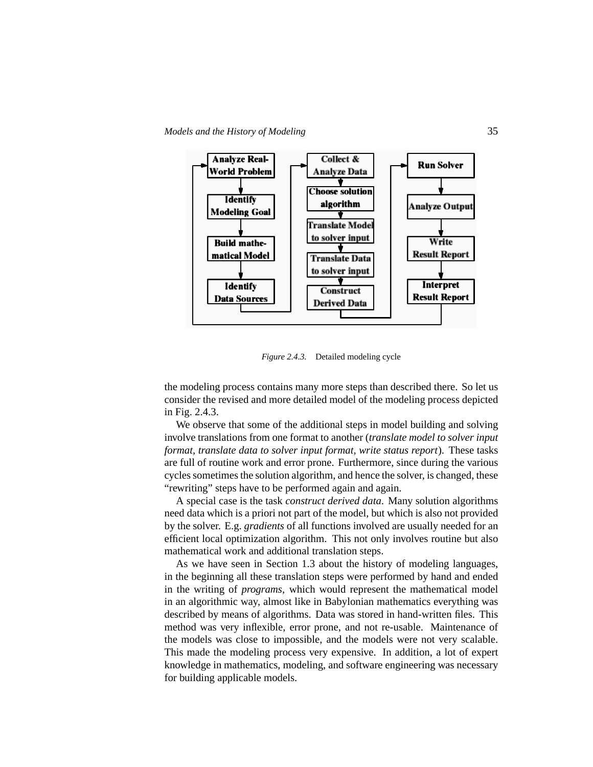

*Figure 2.4.3.* Detailed modeling cycle

the modeling process contains many more steps than described there. So let us consider the revised and more detailed model of the modeling process depicted in Fig. 2.4.3.

We observe that some of the additional steps in model building and solving involve translations from one format to another (*translate model to solver input format*, *translate data to solver input format*, *write status report*). These tasks are full of routine work and error prone. Furthermore, since during the various cycles sometimes the solution algorithm, and hence the solver, is changed, these "rewriting" steps have to be performed again and again.

A special case is the task *construct derived data*. Many solution algorithms need data which is a priori not part of the model, but which is also not provided by the solver. E.g. *gradients* of all functions involved are usually needed for an efficient local optimization algorithm. This not only involves routine but also mathematical work and additional translation steps.

As we have seen in Section 1.3 about the history of modeling languages, in the beginning all these translation steps were performed by hand and ended in the writing of *programs*, which would represent the mathematical model in an algorithmic way, almost like in Babylonian mathematics everything was described by means of algorithms. Data was stored in hand-written files. This method was very inflexible, error prone, and not re-usable. Maintenance of the models was close to impossible, and the models were not very scalable. This made the modeling process very expensive. In addition, a lot of expert knowledge in mathematics, modeling, and software engineering was necessary for building applicable models.